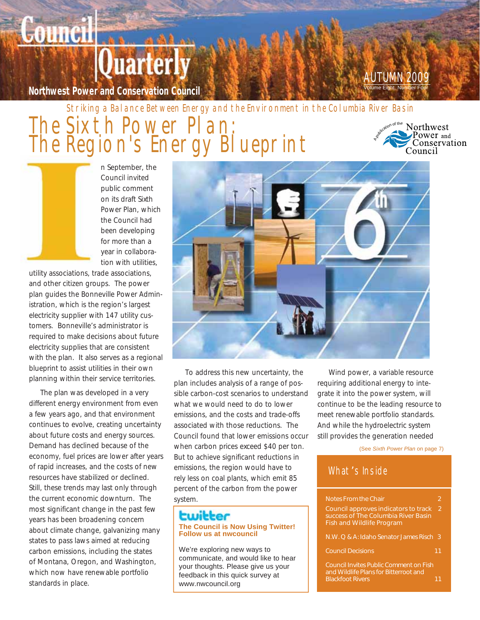# uarterly

**Northwest Power and Conservation Council** 

**Counci** 

## AUTUMN 2009

Striking a Balance Between Energy and the Environment in the Columbia River Basin

## The Sixth Power Plan: The Region's Energy Blueprint

vof the Northwest Power and  $\overline{\mathbf{r}}$ Conservation Council

n September, the Council invited public comment on its draft Sixth Power Plan, which the Council had been developing for more than a year in collaboration with utilities,

utility associations, trade associations, and other citizen groups. The power plan guides the Bonneville Power Administration, which is the region's largest electricity supplier with 147 utility customers. Bonneville's administrator is required to make decisions about future electricity supplies that are consistent with the plan. It also serves as a regional blueprint to assist utilities in their own planning within their service territories.

The plan was developed in a very different energy environment from even a few years ago, and that environment continues to evolve, creating uncertainty about future costs and energy sources. Demand has declined because of the economy, fuel prices are lower after years of rapid increases, and the costs of new resources have stabilized or declined. Still, these trends may last only through the current economic downturn. The most significant change in the past few years has been broadening concern about climate change, galvanizing many states to pass laws aimed at reducing carbon emissions, including the states of Montana, Oregon, and Washington, which now have renewable portfolio standards in place.



To address this new uncertainty, the plan includes analysis of a range of possible carbon-cost scenarios to understand what we would need to do to lower emissions, and the costs and trade-offs associated with those reductions. The Council found that lower emissions occur when carbon prices exceed \$40 per ton. But to achieve significant reductions in emissions, the region would have to rely less on coal plants, which emit 85 percent of the carbon from the power system.

#### **The Council is Now Using Twitter! Follow us at nwcouncil**

We're exploring new ways to communicate, and would like to hear your thoughts. Please give us your feedback in this quick survey at www.nwcouncil.org

Wind power, a variable resource requiring additional energy to integrate it into the power system, will continue to be the leading resource to meet renewable portfolio standards. And while the hydroelectric system still provides the generation needed

(See *Sixth Power Plan* on page 7)

#### What's Inside

| <b>Notes From the Chair</b>                                                                                     |   |
|-----------------------------------------------------------------------------------------------------------------|---|
| Council approves indicators to track<br>success of The Columbia River Basin<br><b>Fish and Wildlife Program</b> | 2 |
| N.W. Q & A: Idaho Senator James Risch 3                                                                         |   |
| <b>Council Decisions</b>                                                                                        |   |
| <b>Council Invites Public Comment on Fish</b><br>and Wildlife Plans for Bitterroot and                          |   |

**Blackfoot Rivers 11 and 11 and 11 and 11 and 11 and 11 and 11 and 11 and 11 and 11 and 11 and 11 and 11 and 11**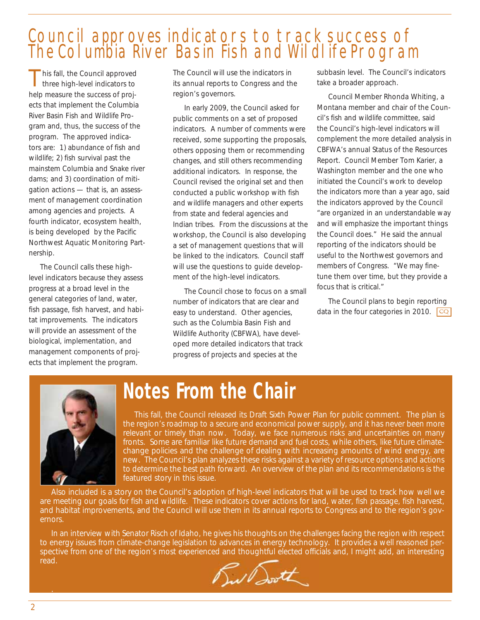## Council approves indicators to track success of The Columbia River Basin Fish and Wildlife Program

his fall, the Council approved three high-level indicators to help measure the success of projects that implement the Columbia River Basin Fish and Wildlife Program and, thus, the success of the program. The approved indicators are: 1) abundance of fish and wildlife; 2) fish survival past the mainstem Columbia and Snake river dams; and 3) coordination of mitigation actions — that is, an assessment of management coordination among agencies and projects. A fourth indicator, ecosystem health, is being developed by the Pacific Northwest Aquatic Monitoring Partnership.

The Council calls these highlevel indicators because they assess progress at a broad level in the general categories of land, water, fish passage, fish harvest, and habitat improvements. The indicators will provide an assessment of the biological, implementation, and management components of projects that implement the program.

The Council will use the indicators in its annual reports to Congress and the region's governors.

In early 2009, the Council asked for public comments on a set of proposed indicators. A number of comments were received, some supporting the proposals, others opposing them or recommending changes, and still others recommending additional indicators. In response, the Council revised the original set and then conducted a public workshop with fish and wildlife managers and other experts from state and federal agencies and Indian tribes. From the discussions at the workshop, the Council is also developing a set of management questions that will be linked to the indicators. Council staff will use the questions to guide development of the high-level indicators.

The Council chose to focus on a small number of indicators that are clear and easy to understand. Other agencies, such as the Columbia Basin Fish and Wildlife Authority (CBFWA), have developed more detailed indicators that track progress of projects and species at the

subbasin level. The Council's indicators take a broader approach.

Council Member Rhonda Whiting, a Montana member and chair of the Council's fish and wildlife committee, said the Council's high-level indicators will complement the more detailed analysis in CBFWA's annual Status of the Resources Report. Council Member Tom Karier, a Washington member and the one who initiated the Council's work to develop the indicators more than a year ago, said the indicators approved by the Council "are organized in an understandable way and will emphasize the important things the Council does." He said the annual reporting of the indicators should be useful to the Northwest governors and members of Congress. "We may finetune them over time, but they provide a focus that is critical."

The Council plans to begin reporting data in the four categories in 2010.  $\boxed{CQ}$ 



## **Notes From the Chair**

This fall, the Council released its Draft Sixth Power Plan for public comment. The plan is the region's roadmap to a secure and economical power supply, and it has never been more relevant or timely than now. Today, we face numerous risks and uncertainties on many fronts. Some are familiar like future demand and fuel costs, while others, like future climatechange policies and the challenge of dealing with increasing amounts of wind energy, are new. The Council's plan analyzes these risks against a variety of resource options and actions to determine the best path forward. An overview of the plan and its recommendations is the featured story in this issue.

Also included is a story on the Council's adoption of high-level indicators that will be used to track how well we are meeting our goals for fish and wildlife. These indicators cover actions for land, water, fish passage, fish harvest, and habitat improvements, and the Council will use them in its annual reports to Congress and to the region's governors.

In an interview with Senator Risch of Idaho, he gives his thoughts on the challenges facing the region with respect to energy issues from climate-change legislation to advances in energy technology. It provides a well reasoned perspective from one of the region's most experienced and thoughtful elected officials and, I might add, an interesting read.



.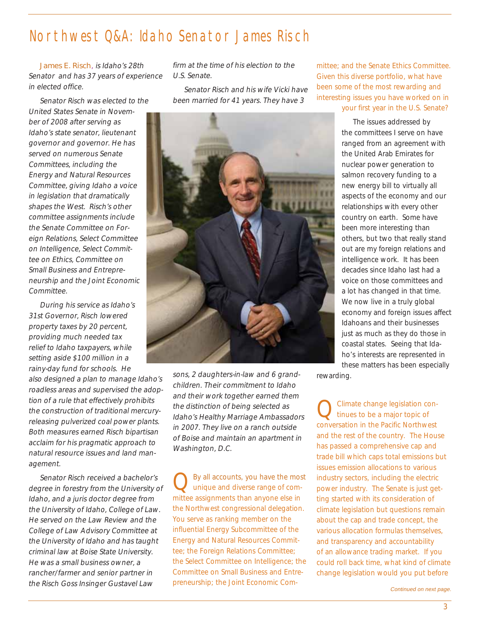## Northwest Q&A: Idaho Senator James Risch

James E. Risch, is Idaho's 28th Senator and has 37 years of experience in elected office.

Senator Risch was elected to the United States Senate in November of 2008 after serving as Idaho's state senator, lieutenant governor and governor. He has served on numerous Senate Committees, including the Energy and Natural Resources Committee, giving Idaho a voice in legislation that dramatically shapes the West. Risch's other committee assignments include the Senate Committee on Foreign Relations, Select Committee on Intelligence, Select Committee on Ethics, Committee on Small Business and Entrepreneurship and the Joint Economic Committee.

During his service as Idaho's 31st Governor, Risch lowered property taxes by 20 percent, providing much needed tax relief to Idaho taxpayers, while setting aside \$100 million in a rainy-day fund for schools. He

also designed a plan to manage Idaho's roadless areas and supervised the adoption of a rule that effectively prohibits the construction of traditional mercuryreleasing pulverized coal power plants. Both measures earned Risch bipartisan acclaim for his pragmatic approach to natural resource issues and land management.

Senator Risch received a bachelor's degree in forestry from the University of Idaho, and a juris doctor degree from the University of Idaho, College of Law. He served on the Law Review and the College of Law Advisory Committee at the University of Idaho and has taught criminal law at Boise State University. He was a small business owner, a rancher/farmer and senior partner in the Risch Goss Insinger Gustavel Law

firm at the time of his election to the U.S. Senate.

Senator Risch and his wife Vicki have been married for 41 years. They have 3



sons, 2 daughters-in-law and 6 grandchildren. Their commitment to Idaho and their work together earned them the distinction of being selected as Idaho's Healthy Marriage Ambassadors in 2007. They live on a ranch outside of Boise and maintain an apartment in Washington, D.C.

By all accounts, you have the most unique and diverse range of committee assignments than anyone else in the Northwest congressional delegation. You serve as ranking member on the influential Energy Subcommittee of the Energy and Natural Resources Committee; the Foreign Relations Committee; the Select Committee on Intelligence; the Committee on Small Business and Entrepreneurship; the Joint Economic Committee; and the Senate Ethics Committee. Given this diverse portfolio, what have been some of the most rewarding and interesting issues you have worked on in your first year in the U.S. Senate?

> The issues addressed by the committees I serve on have ranged from an agreement with the United Arab Emirates for nuclear power generation to salmon recovery funding to a new energy bill to virtually all aspects of the economy and our relationships with every other country on earth. Some have been more interesting than others, but two that really stand out are my foreign relations and intelligence work. It has been decades since Idaho last had a voice on those committees and a lot has changed in that time. We now live in a truly global economy and foreign issues affect Idahoans and their businesses just as much as they do those in coastal states. Seeing that Idaho's interests are represented in these matters has been especially

rewarding.

Climate change legislation continues to be a major topic of conversation in the Pacific Northwest and the rest of the country. The House has passed a comprehensive cap and trade bill which caps total emissions but issues emission allocations to various industry sectors, including the electric power industry. The Senate is just getting started with its consideration of climate legislation but questions remain about the cap and trade concept, the various allocation formulas themselves, and transparency and accountability of an allowance trading market. If you could roll back time, what kind of climate change legislation would you put before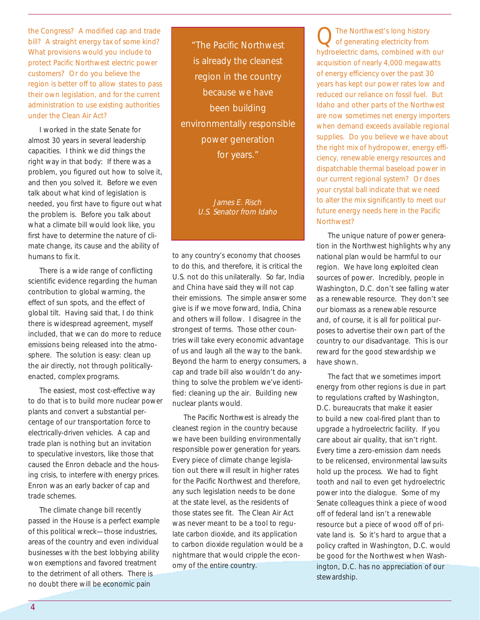the Congress? A modified cap and trade bill? A straight energy tax of some kind? What provisions would you include to protect Pacific Northwest electric power customers? Or do you believe the region is better off to allow states to pass their own legislation, and for the current administration to use existing authorities under the Clean Air Act?

I worked in the state Senate for almost 30 years in several leadership capacities. I think we did things the right way in that body: If there was a problem, you figured out how to solve it, and then you solved it. Before we even talk about what kind of legislation is needed, you first have to figure out what the problem is. Before you talk about what a climate bill would look like, you first have to determine the nature of climate change, its cause and the ability of humans to fix it.

There is a wide range of conflicting scientific evidence regarding the human contribution to global warming, the effect of sun spots, and the effect of global tilt. Having said that, I do think there is widespread agreement, myself included, that we can do more to reduce emissions being released into the atmosphere. The solution is easy: clean up the air directly, not through politicallyenacted, complex programs.

The easiest, most cost-effective way to do that is to build more nuclear power plants and convert a substantial percentage of our transportation force to electrically-driven vehicles. A cap and trade plan is nothing but an invitation to speculative investors, like those that caused the Enron debacle and the housing crisis, to interfere with energy prices. Enron was an early backer of cap and trade schemes.

The climate change bill recently passed in the House is a perfect example of this political wreck—those industries, areas of the country and even individual businesses with the best lobbying ability won exemptions and favored treatment to the detriment of all others. There is no doubt there will be economic pain

"The Pacific Northwest is already the cleanest region in the country because we have been building environmentally responsible power generation for years."

> James E. Risch U.S. Senator from Idaho

to any country's economy that chooses to do this, and therefore, it is critical the U.S. not do this unilaterally. So far, India and China have said they will not cap their emissions. The simple answer some give is if we move forward, India, China and others will follow. I disagree in the strongest of terms. Those other countries will take every economic advantage of us and laugh all the way to the bank. Beyond the harm to energy consumers, a cap and trade bill also wouldn't do anything to solve the problem we've identified: cleaning up the air. Building new nuclear plants would.

The Pacific Northwest is already the cleanest region in the country because we have been building environmentally responsible power generation for years. Every piece of climate change legislation out there will result in higher rates for the Pacific Northwest and therefore, any such legislation needs to be done at the state level, as the residents of those states see fit. The Clean Air Act was never meant to be a tool to regulate carbon dioxide, and its application to carbon dioxide regulation would be a nightmare that would cripple the economy of the entire country.

QThe Northwest's long history of generating electricity from hydroelectric dams, combined with our acquisition of nearly 4,000 megawatts of energy efficiency over the past 30 years has kept our power rates low and reduced our reliance on fossil fuel. But Idaho and other parts of the Northwest are now sometimes net energy importers when demand exceeds available regional supplies. Do you believe we have about the right mix of hydropower, energy efficiency, renewable energy resources and dispatchable thermal baseload power in our current regional system? Or does your crystal ball indicate that we need to alter the mix significantly to meet our future energy needs here in the Pacific Northwest?

The unique nature of power generation in the Northwest highlights why any national plan would be harmful to our region. We have long exploited clean sources of power. Incredibly, people in Washington, D.C. don't see falling water as a renewable resource. They don't see our biomass as a renewable resource and, of course, it is all for political purposes to advertise their own part of the country to our disadvantage. This is our reward for the good stewardship we have shown.

The fact that we sometimes import energy from other regions is due in part to regulations crafted by Washington, D.C. bureaucrats that make it easier to build a new coal-fired plant than to upgrade a hydroelectric facility. If you care about air quality, that isn't right. Every time a zero-emission dam needs to be relicensed, environmental lawsuits hold up the process. We had to fight tooth and nail to even get hydroelectric power into the dialogue. Some of my Senate colleagues think a piece of wood off of federal land isn't a renewable resource but a piece of wood off of private land is. So it's hard to argue that a policy crafted in Washington, D.C. would be good for the Northwest when Washington, D.C. has no appreciation of our stewardship.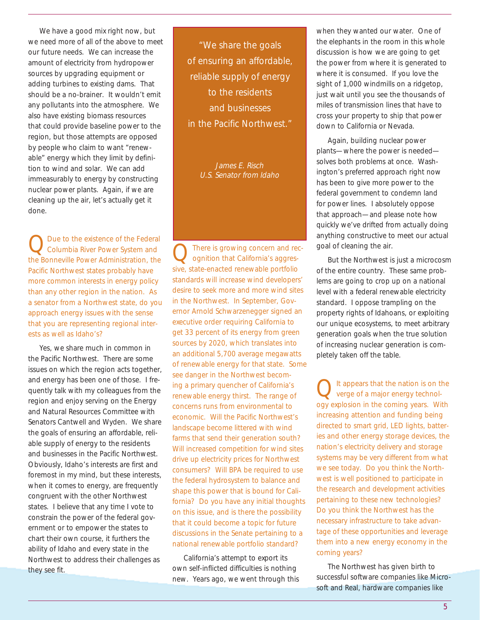We have a good mix right now, but we need more of all of the above to meet our future needs. We can increase the amount of electricity from hydropower sources by upgrading equipment or adding turbines to existing dams. That should be a no-brainer. It wouldn't emit any pollutants into the atmosphere. We also have existing biomass resources that could provide baseline power to the region, but those attempts are opposed by people who claim to want "renewable" energy which they limit by definition to wind and solar. We can add immeasurably to energy by constructing nuclear power plants. Again, if we are cleaning up the air, let's actually get it done.

Q Due to the existence of the Federal<br>Columbia River Power System and the Bonneville Power Administration, the Pacific Northwest states probably have more common interests in energy policy than any other region in the nation. As a senator from a Northwest state, do you approach energy issues with the sense that you are representing regional interests as well as Idaho's?

Yes, we share much in common in the Pacific Northwest. There are some issues on which the region acts together, and energy has been one of those. I frequently talk with my colleagues from the region and enjoy serving on the Energy and Natural Resources Committee with Senators Cantwell and Wyden. We share the goals of ensuring an affordable, reliable supply of energy to the residents and businesses in the Pacific Northwest. Obviously, Idaho's interests are first and foremost in my mind, but these interests, when it comes to energy, are frequently congruent with the other Northwest states. I believe that any time I vote to constrain the power of the federal government or to empower the states to chart their own course, it furthers the ability of Idaho and every state in the Northwest to address their challenges as they see fit.

"We share the goals of ensuring an affordable, reliable supply of energy to the residents and businesses in the Pacific Northwest."

> James E. Risch U.S. Senator from Idaho

QThere is growing concern and rec-ognition that California's aggressive, state-enacted renewable portfolio standards will increase wind developers' desire to seek more and more wind sites in the Northwest. In September, Governor Arnold Schwarzenegger signed an executive order requiring California to get 33 percent of its energy from green sources by 2020, which translates into an additional 5,700 average megawatts of renewable energy for that state. Some see danger in the Northwest becoming a primary quencher of California's renewable energy thirst. The range of concerns runs from environmental to economic. Will the Pacific Northwest's landscape become littered with wind farms that send their generation south? Will increased competition for wind sites drive up electricity prices for Northwest consumers? Will BPA be required to use the federal hydrosystem to balance and shape this power that is bound for California? Do you have any initial thoughts on this issue, and is there the possibility that it could become a topic for future discussions in the Senate pertaining to a national renewable portfolio standard?

California's attempt to export its own self-inflicted difficulties is nothing new. Years ago, we went through this

when they wanted our water. One of the elephants in the room in this whole discussion is how we are going to get the power from where it is generated to where it is consumed. If you love the sight of 1,000 windmills on a ridgetop, just wait until you see the thousands of miles of transmission lines that have to cross your property to ship that power down to California or Nevada.

Again, building nuclear power plants—where the power is needed solves both problems at once. Washington's preferred approach right now has been to give more power to the federal government to condemn land for power lines. I absolutely oppose that approach—and please note how quickly we've drifted from actually doing anything constructive to meet our actual goal of cleaning the air.

But the Northwest is just a microcosm of the entire country. These same problems are going to crop up on a national level with a federal renewable electricity standard. I oppose trampling on the property rights of Idahoans, or exploiting our unique ecosystems, to meet arbitrary generation goals when the true solution of increasing nuclear generation is completely taken off the table.

It appears that the nation is on the verge of a major energy technology explosion in the coming years. With increasing attention and funding being directed to smart grid, LED lights, batteries and other energy storage devices, the nation's electricity delivery and storage systems may be very different from what we see today. Do you think the Northwest is well positioned to participate in the research and development activities pertaining to these new technologies? Do you think the Northwest has the necessary infrastructure to take advantage of these opportunities and leverage them into a new energy economy in the coming years?

The Northwest has given birth to successful software companies like Microsoft and Real, hardware companies like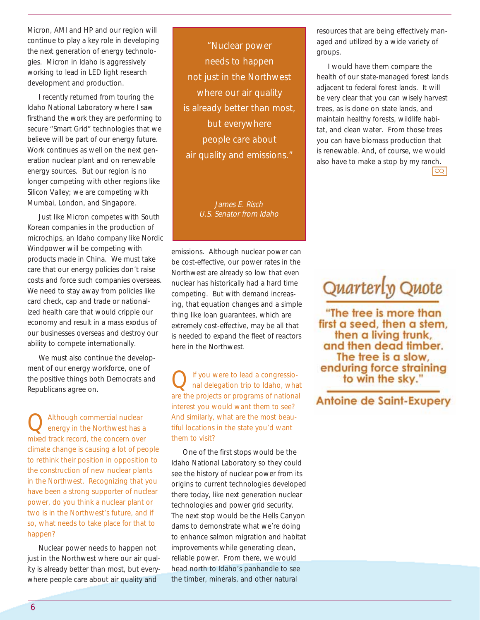Micron, AMI and HP and our region will continue to play a key role in developing the next generation of energy technologies. Micron in Idaho is aggressively working to lead in LED light research development and production.

I recently returned from touring the Idaho National Laboratory where I saw firsthand the work they are performing to secure "Smart Grid" technologies that we believe will be part of our energy future. Work continues as well on the next generation nuclear plant and on renewable energy sources. But our region is no longer competing with other regions like Silicon Valley; we are competing with Mumbai, London, and Singapore.

Just like Micron competes with South Korean companies in the production of microchips, an Idaho company like Nordic Windpower will be competing with products made in China. We must take care that our energy policies don't raise costs and force such companies overseas. We need to stay away from policies like card check, cap and trade or nationalized health care that would cripple our economy and result in a mass exodus of our businesses overseas and destroy our ability to compete internationally.

We must also continue the development of our energy workforce, one of the positive things both Democrats and Republicans agree on.

Although commercial nuclear energy in the Northwest has a mixed track record, the concern over climate change is causing a lot of people to rethink their position in opposition to the construction of new nuclear plants in the Northwest. Recognizing that you have been a strong supporter of nuclear power, do you think a nuclear plant or two is in the Northwest's future, and if so, what needs to take place for that to happen?

Nuclear power needs to happen not just in the Northwest where our air quality is already better than most, but everywhere people care about air quality and

"Nuclear power needs to happen not just in the Northwest where our air quality is already better than most, but everywhere people care about air quality and emissions."

> James E. Risch U.S. Senator from Idaho

emissions. Although nuclear power can be cost-effective, our power rates in the Northwest are already so low that even nuclear has historically had a hard time competing. But with demand increasing, that equation changes and a simple thing like loan guarantees, which are extremely cost-effective, may be all that is needed to expand the fleet of reactors here in the Northwest.

If you were to lead a congressional delegation trip to Idaho, what are the projects or programs of national interest you would want them to see? And similarly, what are the most beautiful locations in the state you'd want them to visit?

One of the first stops would be the Idaho National Laboratory so they could see the history of nuclear power from its origins to current technologies developed there today, like next generation nuclear technologies and power grid security. The next stop would be the Hells Canyon dams to demonstrate what we're doing to enhance salmon migration and habitat improvements while generating clean, reliable power. From there, we would head north to Idaho's panhandle to see the timber, minerals, and other natural

resources that are being effectively managed and utilized by a wide variety of groups.

I would have them compare the health of our state-managed forest lands adjacent to federal forest lands. It will be very clear that you can wisely harvest trees, as is done on state lands, and maintain healthy forests, wildlife habitat, and clean water. From those trees you can have biomass production that is renewable. And, of course, we would also have to make a stop by my ranch.

 $|cQ|$ 

## Quarterly Quote

"The tree is more than first a seed, then a stem. then a living trunk, and then dead timber. The tree is a slow, enduring force straining to win the sky.'

**Antoine de Saint-Exupery**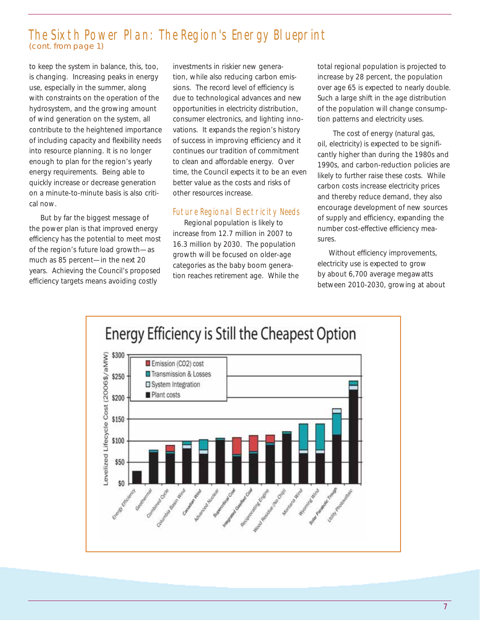### The Sixth Power Plan: The Region's Energy Blueprint *(cont. from page 1)*

to keep the system in balance, this, too, is changing. Increasing peaks in energy use, especially in the summer, along with constraints on the operation of the hydrosystem, and the growing amount of wind generation on the system, all contribute to the heightened importance of including capacity and flexibility needs into resource planning. It is no longer enough to plan for the region's yearly energy requirements. Being able to quickly increase or decrease generation on a minute-to-minute basis is also critical now.

But by far the biggest message of the power plan is that improved energy efficiency has the potential to meet most of the region's future load growth—as much as 85 percent—in the next 20 years. Achieving the Council's proposed efficiency targets means avoiding costly

investments in riskier new generation, while also reducing carbon emissions. The record level of efficiency is due to technological advances and new opportunities in electricity distribution, consumer electronics, and lighting innovations. It expands the region's history of success in improving efficiency and it continues our tradition of commitment to clean and affordable energy. Over time, the Council expects it to be an even better value as the costs and risks of other resources increase.

#### Future Regional Electricity Needs

Regional population is likely to increase from 12.7 million in 2007 to 16.3 million by 2030. The population growth will be focused on older-age categories as the baby boom generation reaches retirement age. While the

total regional population is projected to increase by 28 percent, the population over age 65 is expected to nearly double. Such a large shift in the age distribution of the population will change consumption patterns and electricity uses.

 The cost of energy (natural gas, oil, electricity) is expected to be significantly higher than during the 1980s and 1990s, and carbon-reduction policies are likely to further raise these costs. While carbon costs increase electricity prices and thereby reduce demand, they also encourage development of new sources of supply and efficiency, expanding the number cost-effective efficiency measures.

Without efficiency improvements, electricity use is expected to grow by about 6,700 average megawatts between 2010-2030, growing at about

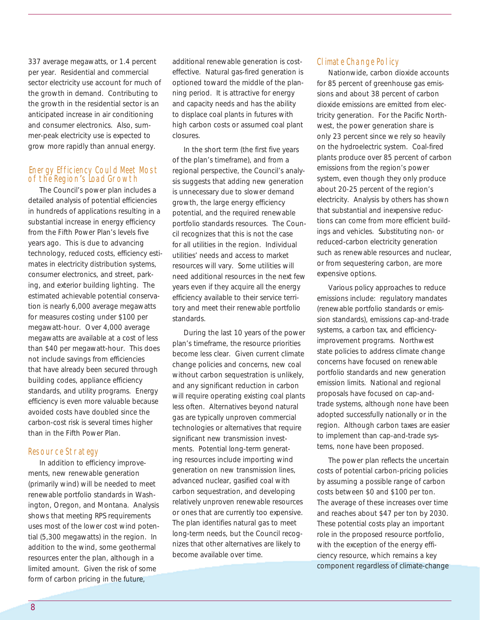337 average megawatts, or 1.4 percent per year. Residential and commercial sector electricity use account for much of the growth in demand. Contributing to the growth in the residential sector is an anticipated increase in air conditioning and consumer electronics. Also, summer-peak electricity use is expected to grow more rapidly than annual energy.

#### of the Region*'*s Load Growth Energy Efficiency Could Meet Most

The Council's power plan includes a detailed analysis of potential efficiencies in hundreds of applications resulting in a substantial increase in energy efficiency from the Fifth Power Plan's levels five years ago. This is due to advancing technology, reduced costs, efficiency estimates in electricity distribution systems, consumer electronics, and street, parking, and exterior building lighting. The estimated achievable potential conservation is nearly 6,000 average megawatts for measures costing under \$100 per megawatt-hour. Over 4,000 average megawatts are available at a cost of less than \$40 per megawatt-hour. This does not include savings from efficiencies that have already been secured through building codes, appliance efficiency standards, and utility programs. Energy efficiency is even more valuable because avoided costs have doubled since the carbon-cost risk is several times higher than in the Fifth Power Plan.

#### Resource Strategy

In addition to efficiency improvements, new renewable generation (primarily wind) will be needed to meet renewable portfolio standards in Washington, Oregon, and Montana. Analysis shows that meeting RPS requirements uses most of the lower cost wind potential (5,300 megawatts) in the region. In addition to the wind, some geothermal resources enter the plan, although in a limited amount. Given the risk of some form of carbon pricing in the future,

additional renewable generation is costeffective. Natural gas-fired generation is optioned toward the middle of the planning period. It is attractive for energy and capacity needs and has the ability to displace coal plants in futures with high carbon costs or assumed coal plant closures.

In the short term (the first five years of the plan's timeframe), and from a regional perspective, the Council's analysis suggests that adding new generation is unnecessary due to slower demand growth, the large energy efficiency potential, and the required renewable portfolio standards resources. The Council recognizes that this is not the case for all utilities in the region. Individual utilities' needs and access to market resources will vary. Some utilities will need additional resources in the next few years even if they acquire all the energy efficiency available to their service territory and meet their renewable portfolio standards.

During the last 10 years of the power plan's timeframe, the resource priorities become less clear. Given current climate change policies and concerns, new coal without carbon sequestration is unlikely, and any significant reduction in carbon will require operating existing coal plants less often. Alternatives beyond natural gas are typically unproven commercial technologies or alternatives that require significant new transmission investments. Potential long-term generating resources include importing wind generation on new transmission lines, advanced nuclear, gasified coal with carbon sequestration, and developing relatively unproven renewable resources or ones that are currently too expensive. The plan identifies natural gas to meet long-term needs, but the Council recognizes that other alternatives are likely to become available over time.

#### Climate Change Policy

Nationwide, carbon dioxide accounts for 85 percent of greenhouse gas emissions and about 38 percent of carbon dioxide emissions are emitted from electricity generation. For the Pacific Northwest, the power generation share is only 23 percent since we rely so heavily on the hydroelectric system. Coal-fired plants produce over 85 percent of carbon emissions from the region's power system, even though they only produce about 20-25 percent of the region's electricity. Analysis by others has shown that substantial and inexpensive reductions can come from more efficient buildings and vehicles. Substituting non- or reduced-carbon electricity generation such as renewable resources and nuclear, or from sequestering carbon, are more expensive options.

Various policy approaches to reduce emissions include: regulatory mandates (renewable portfolio standards or emission standards), emissions cap-and-trade systems, a carbon tax, and efficiencyimprovement programs. Northwest state policies to address climate change concerns have focused on renewable portfolio standards and new generation emission limits. National and regional proposals have focused on cap-andtrade systems, although none have been adopted successfully nationally or in the region. Although carbon taxes are easier to implement than cap-and-trade systems, none have been proposed.

The power plan reflects the uncertain costs of potential carbon-pricing policies by assuming a possible range of carbon costs between \$0 and \$100 per ton. The average of these increases over time and reaches about \$47 per ton by 2030. These potential costs play an important role in the proposed resource portfolio, with the exception of the energy efficiency resource, which remains a key component regardless of climate-change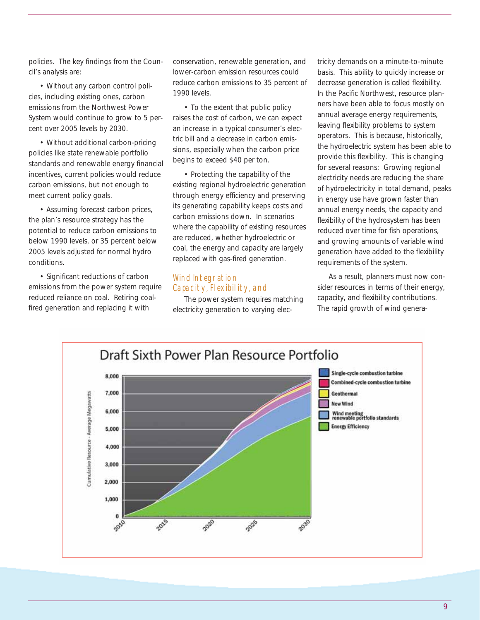policies. The key findings from the Council's analysis are:

• Without any carbon control policies, including existing ones, carbon emissions from the Northwest Power System would continue to grow to 5 percent over 2005 levels by 2030.

• Without additional carbon-pricing policies like state renewable portfolio standards and renewable energy financial incentives, current policies would reduce carbon emissions, but not enough to meet current policy goals.

• Assuming forecast carbon prices, the plan's resource strategy has the potential to reduce carbon emissions to below 1990 levels, or 35 percent below 2005 levels adjusted for normal hydro conditions.

• Significant reductions of carbon emissions from the power system require reduced reliance on coal. Retiring coalfired generation and replacing it with

conservation, renewable generation, and lower-carbon emission resources could reduce carbon emissions to 35 percent of 1990 levels.

• To the extent that public policy raises the cost of carbon, we can expect an increase in a typical consumer's electric bill and a decrease in carbon emissions, especially when the carbon price begins to exceed \$40 per ton.

• Protecting the capability of the existing regional hydroelectric generation through energy efficiency and preserving its generating capability keeps costs and carbon emissions down. In scenarios where the capability of existing resources are reduced, whether hydroelectric or coal, the energy and capacity are largely replaced with gas-fired generation.

#### Capacity, Flexibility, and Wind Integration

The power system requires matching electricity generation to varying elec-

tricity demands on a minute-to-minute basis. This ability to quickly increase or decrease generation is called flexibility. In the Pacific Northwest, resource planners have been able to focus mostly on annual average energy requirements, leaving flexibility problems to system operators. This is because, historically, the hydroelectric system has been able to provide this flexibility. This is changing for several reasons: Growing regional electricity needs are reducing the share of hydroelectricity in total demand, peaks in energy use have grown faster than annual energy needs, the capacity and flexibility of the hydrosystem has been reduced over time for fish operations, and growing amounts of variable wind generation have added to the flexibility requirements of the system.

As a result, planners must now consider resources in terms of their energy, capacity, and flexibility contributions. The rapid growth of wind genera-

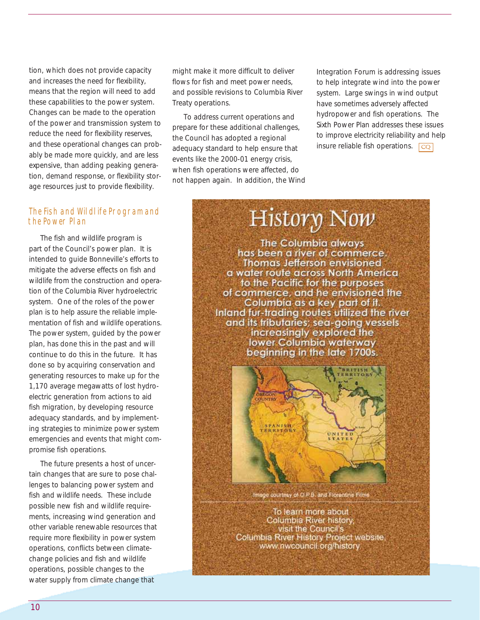tion, which does not provide capacity and increases the need for flexibility, means that the region will need to add these capabilities to the power system. Changes can be made to the operation of the power and transmission system to reduce the need for flexibility reserves, and these operational changes can probably be made more quickly, and are less expensive, than adding peaking generation, demand response, or flexibility storage resources just to provide flexibility.

#### The Fish and Wildlife Program and the Power Plan

The fish and wildlife program is part of the Council's power plan. It is intended to guide Bonneville's efforts to mitigate the adverse effects on fish and wildlife from the construction and operation of the Columbia River hydroelectric system. One of the roles of the power plan is to help assure the reliable implementation of fish and wildlife operations. The power system, guided by the power plan, has done this in the past and will continue to do this in the future. It has done so by acquiring conservation and generating resources to make up for the 1,170 average megawatts of lost hydroelectric generation from actions to aid fish migration, by developing resource adequacy standards, and by implementing strategies to minimize power system emergencies and events that might compromise fish operations.

The future presents a host of uncertain changes that are sure to pose challenges to balancing power system and fish and wildlife needs. These include possible new fish and wildlife requirements, increasing wind generation and other variable renewable resources that require more flexibility in power system operations, conflicts between climatechange policies and fish and wildlife operations, possible changes to the water supply from climate change that

might make it more difficult to deliver flows for fish and meet power needs, and possible revisions to Columbia River Treaty operations.

To address current operations and prepare for these additional challenges, the Council has adopted a regional adequacy standard to help ensure that events like the 2000-01 energy crisis, when fish operations were affected, do not happen again. In addition, the Wind

insure reliable fish operations.  $\boxed{CQ}$ Integration Forum is addressing issues to help integrate wind into the power system. Large swings in wind output have sometimes adversely affected hydropower and fish operations. The Sixth Power Plan addresses these issues to improve electricity reliability and help

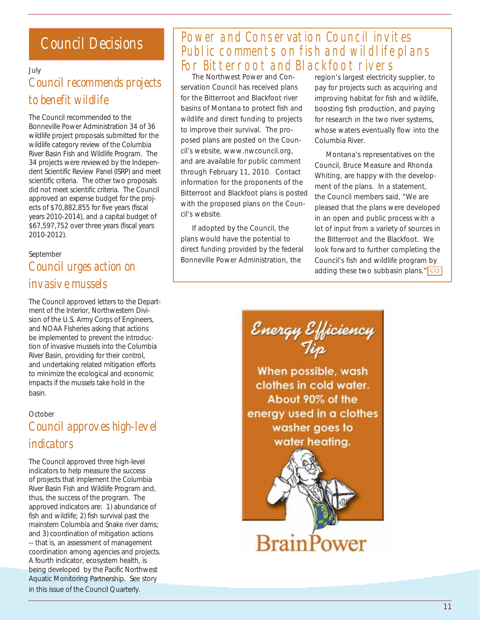## Council Decisions

July

## Council recommends projects to benefit wildlife

The Council recommended to the Bonneville Power Administration 34 of 36 wildlife project proposals submitted for the wildlife category review of the Columbia River Basin Fish and Wildlife Program. The 34 projects were reviewed by the Independent Scientific Review Panel (ISRP) and meet scientific criteria. The other two proposals did not meet scientific criteria. The Council approved an expense budget for the projects of \$70,882,855 for five years (fiscal years 2010-2014), and a capital budget of \$67,597,752 over three years (fiscal years 2010-2012).

### September Council urges action on invasive mussels

The Council approved letters to the Department of the Interior, Northwestern Division of the U.S. Army Corps of Engineers, and NOAA Fisheries asking that actions be implemented to prevent the introduction of invasive mussels into the Columbia River Basin, providing for their control, and undertaking related mitigation efforts to minimize the ecological and economic impacts if the mussels take hold in the basin.

### **October** Council approves high-level indicators

The Council approved three high-level indicators to help measure the success of projects that implement the Columbia River Basin Fish and Wildlife Program and, thus, the success of the program. The approved indicators are: 1) abundance of fish and wildlife; 2) fish survival past the mainstem Columbia and Snake river dams; and 3) coordination of mitigation actions -- that is, an assessment of management coordination among agencies and projects. A fourth indicator, ecosystem health, is being developed by the Pacific Northwest Aquatic Monitoring Partnership. See story in this issue of the Council Quarterly.

## Power and Conservation Council invites Public comments on fish and wildlife plans For Bitterroot and Blackfoot rivers

The Northwest Power and Conservation Council has received plans for the Bitterroot and Blackfoot river basins of Montana to protect fish and wildlife and direct funding to projects to improve their survival. The proposed plans are posted on the Council's website, www.nwcouncil.org, and are available for public comment through February 11, 2010. Contact information for the proponents of the Bitterroot and Blackfoot plans is posted with the proposed plans on the Council's website.

If adopted by the Council, the plans would have the potential to direct funding provided by the federal Bonneville Power Administration, the

region's largest electricity supplier, to pay for projects such as acquiring and improving habitat for fish and wildlife, boosting fish production, and paying for research in the two river systems, whose waters eventually flow into the Columbia River.

Montana's representatives on the Council, Bruce Measure and Rhonda Whiting, are happy with the development of the plans. In a statement, the Council members said, "We are pleased that the plans were developed in an open and public process with a lot of input from a variety of sources in the Bitterroot and the Blackfoot. We look forward to further completing the Council's fish and wildlife program by adding these two subbasin plans."  $CQ$